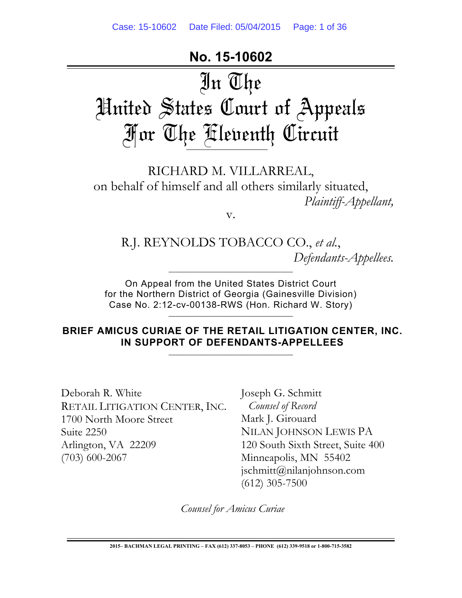## **No. 15-10602**

# In The United States Court of Appeals For The Eleventh Circuit

RICHARD M. VILLARREAL, on behalf of himself and all others similarly situated, *Plaintiff-Appellant,*

v.

R.J. REYNOLDS TOBACCO CO., *et al.*, *Defendants-Appellees.*

On Appeal from the United States District Court for the Northern District of Georgia (Gainesville Division) Case No. 2:12-cv-00138-RWS (Hon. Richard W. Story)

\_\_\_\_\_\_\_\_\_\_\_\_\_\_\_\_\_\_\_\_\_\_\_\_\_\_\_\_\_\_\_\_\_\_\_\_\_

 $\_$  , and the set of the set of the set of the set of the set of the set of the set of the set of the set of the set of the set of the set of the set of the set of the set of the set of the set of the set of the set of th

**BRIEF AMICUS CURIAE OF THE RETAIL LITIGATION CENTER, INC. IN SUPPORT OF DEFENDANTS-APPELLEES**

\_\_\_\_\_\_\_\_\_\_\_\_\_\_\_\_\_\_\_\_\_\_\_\_\_\_\_\_\_\_\_\_\_\_\_\_\_

Deborah R. White RETAIL LITIGATION CENTER, INC. 1700 North Moore Street Suite 2250 Arlington, VA 22209 (703) 600-2067

Joseph G. Schmitt *Counsel of Record* Mark J. Girouard NILAN JOHNSON LEWIS PA 120 South Sixth Street, Suite 400 Minneapolis, MN 55402 jschmitt@nilanjohnson.com (612) 305-7500

*Counsel for Amicus Curiae*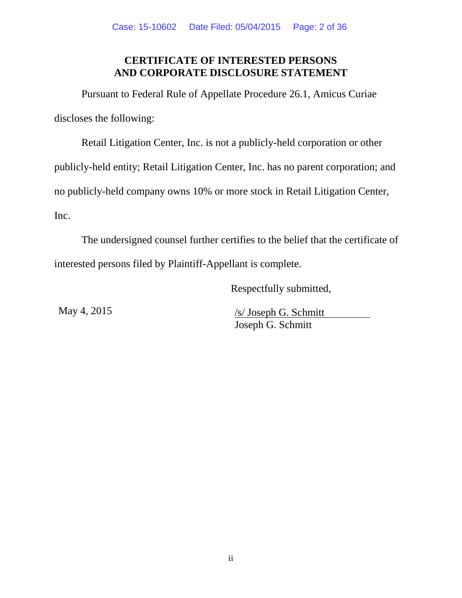## **CERTIFICATE OF INTERESTED PERSONS AND CORPORATE DISCLOSURE STATEMENT**

Pursuant to Federal Rule of Appellate Procedure 26.1, Amicus Curiae discloses the following:

Retail Litigation Center, Inc. is not a publicly-held corporation or other publicly-held entity; Retail Litigation Center, Inc. has no parent corporation; and no publicly-held company owns 10% or more stock in Retail Litigation Center, Inc.

The undersigned counsel further certifies to the belief that the certificate of interested persons filed by Plaintiff-Appellant is complete.

Respectfully submitted,

May 4, 2015 /s/ Joseph G. Schmitt Joseph G. Schmitt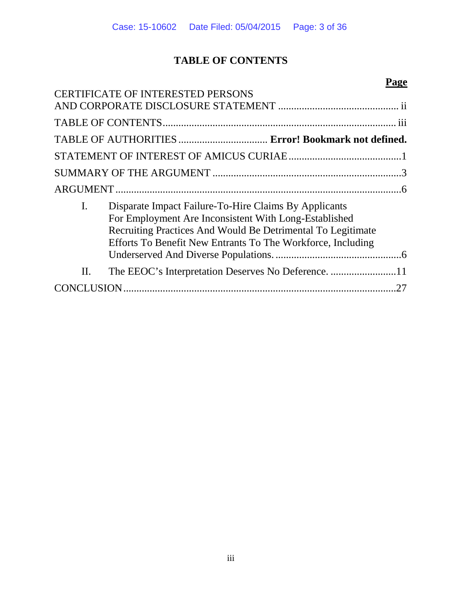## **TABLE OF CONTENTS**

|                |                                                                                                                                                                                                                                              | Page |
|----------------|----------------------------------------------------------------------------------------------------------------------------------------------------------------------------------------------------------------------------------------------|------|
|                | <b>CERTIFICATE OF INTERESTED PERSONS</b>                                                                                                                                                                                                     |      |
|                |                                                                                                                                                                                                                                              |      |
|                |                                                                                                                                                                                                                                              |      |
|                | TABLE OF AUTHORITIES  Error! Bookmark not defined.                                                                                                                                                                                           |      |
|                |                                                                                                                                                                                                                                              |      |
|                |                                                                                                                                                                                                                                              |      |
|                |                                                                                                                                                                                                                                              |      |
| $\mathbf{I}$ . | Disparate Impact Failure-To-Hire Claims By Applicants<br>For Employment Are Inconsistent With Long-Established<br>Recruiting Practices And Would Be Detrimental To Legitimate<br>Efforts To Benefit New Entrants To The Workforce, Including |      |
| II.            | The EEOC's Interpretation Deserves No Deference. 11                                                                                                                                                                                          |      |
| CON            |                                                                                                                                                                                                                                              |      |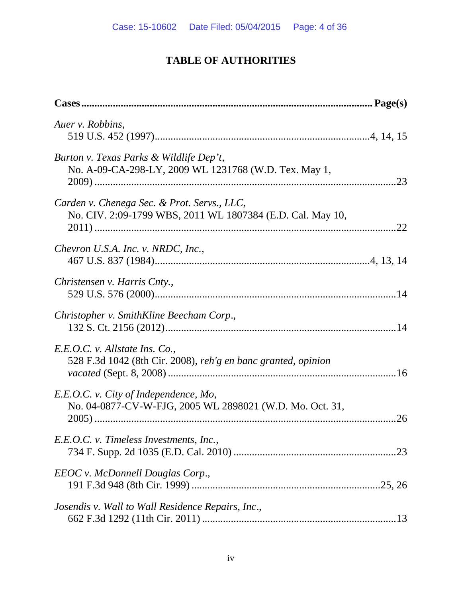## **TABLE OF AUTHORITIES**

| Auer v. Robbins,                                                                                          |  |
|-----------------------------------------------------------------------------------------------------------|--|
| Burton v. Texas Parks & Wildlife Dep't,<br>No. A-09-CA-298-LY, 2009 WL 1231768 (W.D. Tex. May 1,          |  |
| Carden v. Chenega Sec. & Prot. Servs., LLC,<br>No. CIV. 2:09-1799 WBS, 2011 WL 1807384 (E.D. Cal. May 10, |  |
| Chevron U.S.A. Inc. v. NRDC, Inc.,                                                                        |  |
| Christensen v. Harris Cnty.,                                                                              |  |
| Christopher v. SmithKline Beecham Corp.,                                                                  |  |
| E.E.O.C. v. Allstate Ins. Co.,<br>528 F.3d 1042 (8th Cir. 2008), reh'g en banc granted, opinion           |  |
| E.E.O.C. v. City of Independence, Mo,<br>No. 04-0877-CV-W-FJG, 2005 WL 2898021 (W.D. Mo. Oct. 31,         |  |
| E.E.O.C. v. Timeless Investments, Inc.,                                                                   |  |
| EEOC v. McDonnell Douglas Corp.,                                                                          |  |
| Josendis v. Wall to Wall Residence Repairs, Inc.,                                                         |  |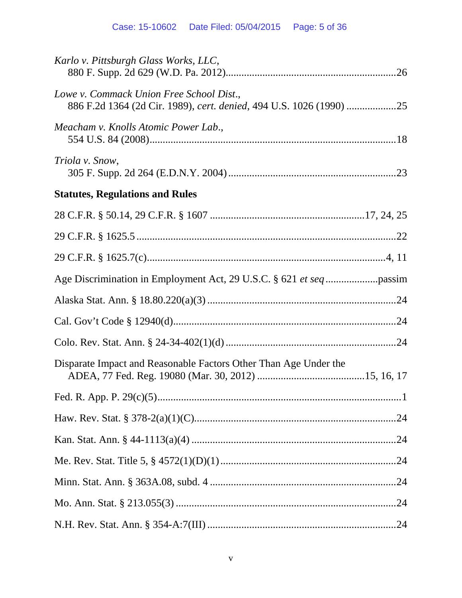| Karlo v. Pittsburgh Glass Works, LLC,                                                                           |
|-----------------------------------------------------------------------------------------------------------------|
| Lowe v. Commack Union Free School Dist.,<br>886 F.2d 1364 (2d Cir. 1989), cert. denied, 494 U.S. 1026 (1990) 25 |
| Meacham v. Knolls Atomic Power Lab.,                                                                            |
| Triola v. Snow,                                                                                                 |
| <b>Statutes, Regulations and Rules</b>                                                                          |
|                                                                                                                 |
|                                                                                                                 |
|                                                                                                                 |
|                                                                                                                 |
|                                                                                                                 |
|                                                                                                                 |
|                                                                                                                 |
| Disparate Impact and Reasonable Factors Other Than Age Under the                                                |
|                                                                                                                 |
|                                                                                                                 |
|                                                                                                                 |
|                                                                                                                 |
|                                                                                                                 |
|                                                                                                                 |
|                                                                                                                 |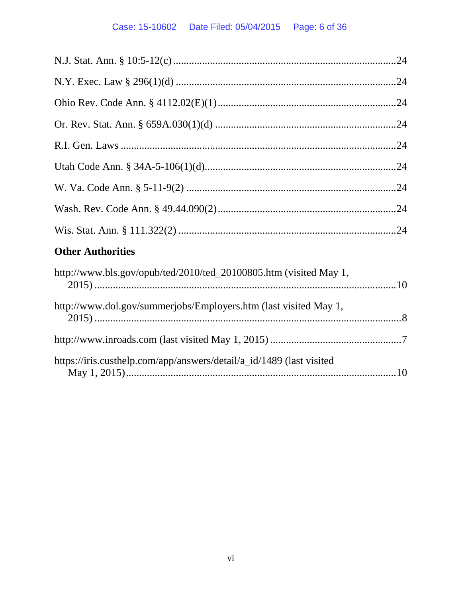## Case: 15-10602 Date Filed: 05/04/2015 Page: 6 of 36

| <b>Other Authorities</b>                                          |  |
|-------------------------------------------------------------------|--|
| http://www.bls.gov/opub/ted/2010/ted_20100805.htm (visited May 1, |  |
| http://www.dol.gov/summerjobs/Employers.htm (last visited May 1,  |  |

| https://iris.custhelp.com/app/answers/detail/a_id/1489 (last visited |  |
|----------------------------------------------------------------------|--|
|                                                                      |  |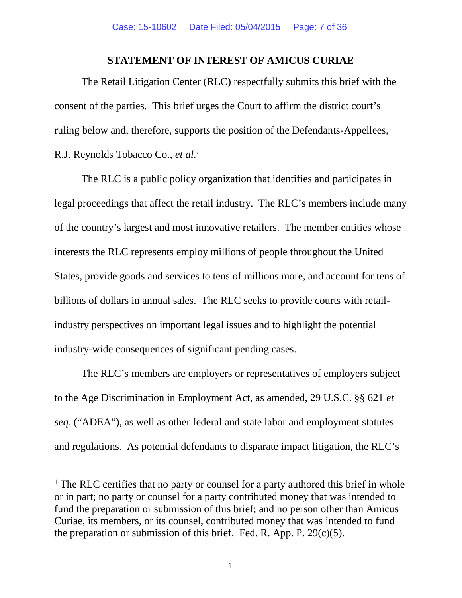## **STATEMENT OF INTEREST OF AMICUS CURIAE**

The Retail Litigation Center (RLC) respectfully submits this brief with the consent of the parties. This brief urges the Court to affirm the district court's ruling below and, therefore, supports the position of the Defendants-Appellees, R.J. Reynolds Tobacco Co., *et al.<sup>1</sup>*

The RLC is a public policy organization that identifies and participates in legal proceedings that affect the retail industry. The RLC's members include many of the country's largest and most innovative retailers. The member entities whose interests the RLC represents employ millions of people throughout the United States, provide goods and services to tens of millions more, and account for tens of billions of dollars in annual sales. The RLC seeks to provide courts with retailindustry perspectives on important legal issues and to highlight the potential industry-wide consequences of significant pending cases.

The RLC's members are employers or representatives of employers subject to the Age Discrimination in Employment Act, as amended, 29 U.S.C. §§ 621 *et seq*. ("ADEA"), as well as other federal and state labor and employment statutes and regulations. As potential defendants to disparate impact litigation, the RLC's

<sup>&</sup>lt;sup>1</sup> The RLC certifies that no party or counsel for a party authored this brief in whole or in part; no party or counsel for a party contributed money that was intended to fund the preparation or submission of this brief; and no person other than Amicus Curiae, its members, or its counsel, contributed money that was intended to fund the preparation or submission of this brief. Fed. R. App. P.  $29(c)(5)$ .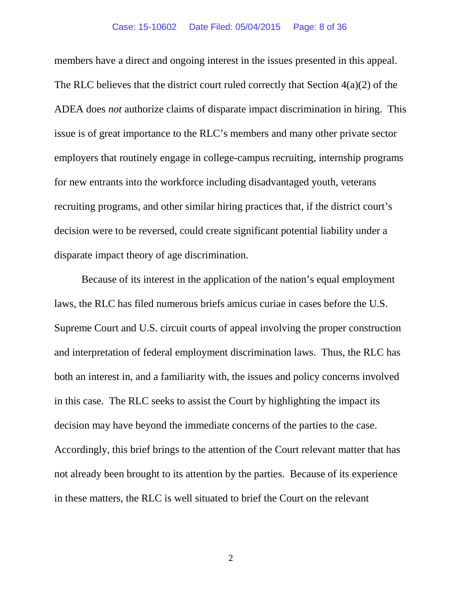members have a direct and ongoing interest in the issues presented in this appeal. The RLC believes that the district court ruled correctly that Section 4(a)(2) of the ADEA does *not* authorize claims of disparate impact discrimination in hiring. This issue is of great importance to the RLC's members and many other private sector employers that routinely engage in college-campus recruiting, internship programs for new entrants into the workforce including disadvantaged youth, veterans recruiting programs, and other similar hiring practices that, if the district court's decision were to be reversed, could create significant potential liability under a disparate impact theory of age discrimination.

Because of its interest in the application of the nation's equal employment laws, the RLC has filed numerous briefs amicus curiae in cases before the U.S. Supreme Court and U.S. circuit courts of appeal involving the proper construction and interpretation of federal employment discrimination laws. Thus, the RLC has both an interest in, and a familiarity with, the issues and policy concerns involved in this case. The RLC seeks to assist the Court by highlighting the impact its decision may have beyond the immediate concerns of the parties to the case. Accordingly, this brief brings to the attention of the Court relevant matter that has not already been brought to its attention by the parties. Because of its experience in these matters, the RLC is well situated to brief the Court on the relevant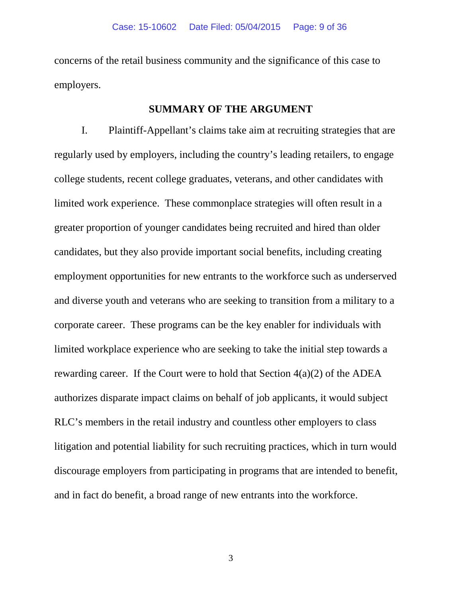concerns of the retail business community and the significance of this case to employers.

## **SUMMARY OF THE ARGUMENT**

I. Plaintiff-Appellant's claims take aim at recruiting strategies that are regularly used by employers, including the country's leading retailers, to engage college students, recent college graduates, veterans, and other candidates with limited work experience. These commonplace strategies will often result in a greater proportion of younger candidates being recruited and hired than older candidates, but they also provide important social benefits, including creating employment opportunities for new entrants to the workforce such as underserved and diverse youth and veterans who are seeking to transition from a military to a corporate career. These programs can be the key enabler for individuals with limited workplace experience who are seeking to take the initial step towards a rewarding career. If the Court were to hold that Section  $4(a)(2)$  of the ADEA authorizes disparate impact claims on behalf of job applicants, it would subject RLC's members in the retail industry and countless other employers to class litigation and potential liability for such recruiting practices, which in turn would discourage employers from participating in programs that are intended to benefit, and in fact do benefit, a broad range of new entrants into the workforce.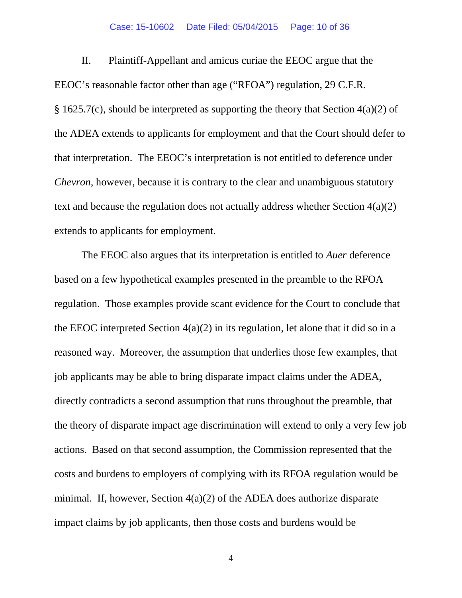#### Case: 15-10602 Date Filed: 05/04/2015 Page: 10 of 36

II. Plaintiff-Appellant and amicus curiae the EEOC argue that the EEOC's reasonable factor other than age ("RFOA") regulation, 29 C.F.R.  $§$  1625.7(c), should be interpreted as supporting the theory that Section 4(a)(2) of the ADEA extends to applicants for employment and that the Court should defer to that interpretation. The EEOC's interpretation is not entitled to deference under *Chevron*, however, because it is contrary to the clear and unambiguous statutory text and because the regulation does not actually address whether Section 4(a)(2) extends to applicants for employment.

The EEOC also argues that its interpretation is entitled to *Auer* deference based on a few hypothetical examples presented in the preamble to the RFOA regulation. Those examples provide scant evidence for the Court to conclude that the EEOC interpreted Section  $4(a)(2)$  in its regulation, let alone that it did so in a reasoned way. Moreover, the assumption that underlies those few examples, that job applicants may be able to bring disparate impact claims under the ADEA, directly contradicts a second assumption that runs throughout the preamble, that the theory of disparate impact age discrimination will extend to only a very few job actions. Based on that second assumption, the Commission represented that the costs and burdens to employers of complying with its RFOA regulation would be minimal. If, however, Section 4(a)(2) of the ADEA does authorize disparate impact claims by job applicants, then those costs and burdens would be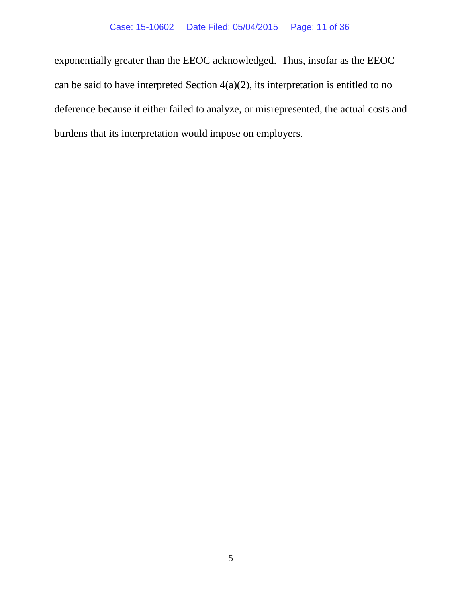exponentially greater than the EEOC acknowledged. Thus, insofar as the EEOC can be said to have interpreted Section  $4(a)(2)$ , its interpretation is entitled to no deference because it either failed to analyze, or misrepresented, the actual costs and burdens that its interpretation would impose on employers.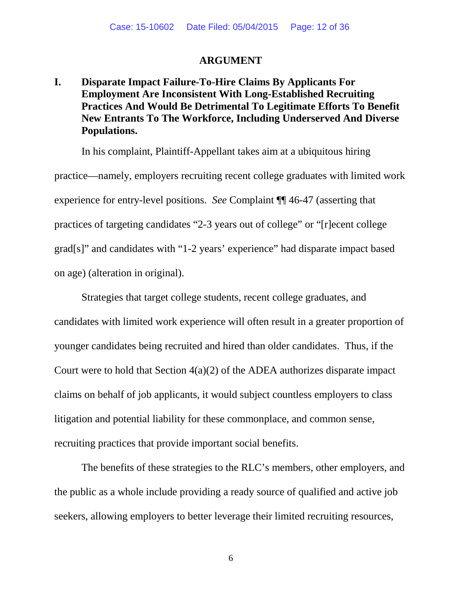#### **ARGUMENT**

## **I. Disparate Impact Failure-To-Hire Claims By Applicants For Employment Are Inconsistent With Long-Established Recruiting Practices And Would Be Detrimental To Legitimate Efforts To Benefit New Entrants To The Workforce, Including Underserved And Diverse Populations.**

In his complaint, Plaintiff-Appellant takes aim at a ubiquitous hiring practice—namely, employers recruiting recent college graduates with limited work experience for entry-level positions. *See* Complaint ¶¶ 46-47 (asserting that practices of targeting candidates "2-3 years out of college" or "[r]ecent college grad[s]" and candidates with "1-2 years' experience" had disparate impact based on age) (alteration in original).

Strategies that target college students, recent college graduates, and candidates with limited work experience will often result in a greater proportion of younger candidates being recruited and hired than older candidates. Thus, if the Court were to hold that Section 4(a)(2) of the ADEA authorizes disparate impact claims on behalf of job applicants, it would subject countless employers to class litigation and potential liability for these commonplace, and common sense, recruiting practices that provide important social benefits.

The benefits of these strategies to the RLC's members, other employers, and the public as a whole include providing a ready source of qualified and active job seekers, allowing employers to better leverage their limited recruiting resources,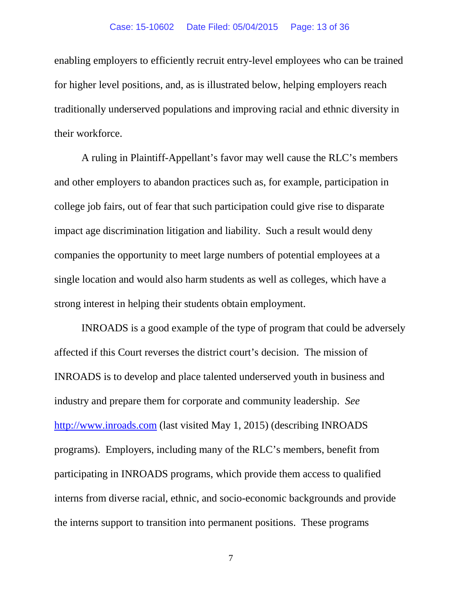#### Case: 15-10602 Date Filed: 05/04/2015 Page: 13 of 36

enabling employers to efficiently recruit entry-level employees who can be trained for higher level positions, and, as is illustrated below, helping employers reach traditionally underserved populations and improving racial and ethnic diversity in their workforce.

A ruling in Plaintiff-Appellant's favor may well cause the RLC's members and other employers to abandon practices such as, for example, participation in college job fairs, out of fear that such participation could give rise to disparate impact age discrimination litigation and liability. Such a result would deny companies the opportunity to meet large numbers of potential employees at a single location and would also harm students as well as colleges, which have a strong interest in helping their students obtain employment.

INROADS is a good example of the type of program that could be adversely affected if this Court reverses the district court's decision. The mission of INROADS is to develop and place talented underserved youth in business and industry and prepare them for corporate and community leadership. *See* http://www.inroads.com (last visited May 1, 2015) (describing INROADS programs). Employers, including many of the RLC's members, benefit from participating in INROADS programs, which provide them access to qualified interns from diverse racial, ethnic, and socio-economic backgrounds and provide the interns support to transition into permanent positions. These programs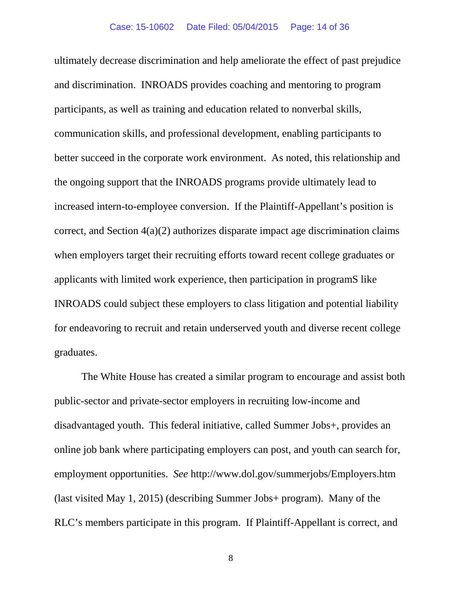ultimately decrease discrimination and help ameliorate the effect of past prejudice and discrimination. INROADS provides coaching and mentoring to program participants, as well as training and education related to nonverbal skills, communication skills, and professional development, enabling participants to better succeed in the corporate work environment. As noted, this relationship and the ongoing support that the INROADS programs provide ultimately lead to increased intern-to-employee conversion. If the Plaintiff-Appellant's position is correct, and Section 4(a)(2) authorizes disparate impact age discrimination claims when employers target their recruiting efforts toward recent college graduates or applicants with limited work experience, then participation in programS like INROADS could subject these employers to class litigation and potential liability for endeavoring to recruit and retain underserved youth and diverse recent college graduates.

The White House has created a similar program to encourage and assist both public-sector and private-sector employers in recruiting low-income and disadvantaged youth. This federal initiative, called Summer Jobs+, provides an online job bank where participating employers can post, and youth can search for, employment opportunities. *See* http://www.dol.gov/summerjobs/Employers.htm (last visited May 1, 2015) (describing Summer Jobs+ program). Many of the RLC's members participate in this program. If Plaintiff-Appellant is correct, and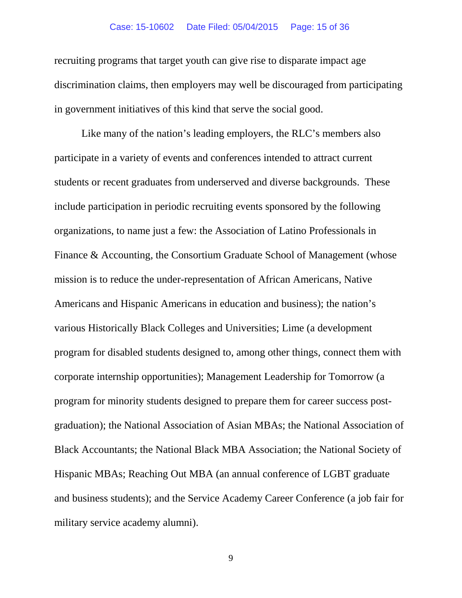#### Case: 15-10602 Date Filed: 05/04/2015 Page: 15 of 36

recruiting programs that target youth can give rise to disparate impact age discrimination claims, then employers may well be discouraged from participating in government initiatives of this kind that serve the social good.

Like many of the nation's leading employers, the RLC's members also participate in a variety of events and conferences intended to attract current students or recent graduates from underserved and diverse backgrounds. These include participation in periodic recruiting events sponsored by the following organizations, to name just a few: the Association of Latino Professionals in Finance & Accounting, the Consortium Graduate School of Management (whose mission is to reduce the under-representation of African Americans, Native Americans and Hispanic Americans in education and business); the nation's various Historically Black Colleges and Universities; Lime (a development program for disabled students designed to, among other things, connect them with corporate internship opportunities); Management Leadership for Tomorrow (a program for minority students designed to prepare them for career success postgraduation); the National Association of Asian MBAs; the National Association of Black Accountants; the National Black MBA Association; the National Society of Hispanic MBAs; Reaching Out MBA (an annual conference of LGBT graduate and business students); and the Service Academy Career Conference (a job fair for military service academy alumni).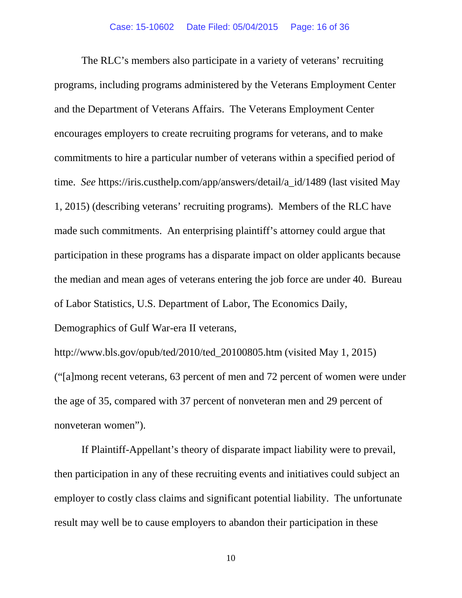The RLC's members also participate in a variety of veterans' recruiting programs, including programs administered by the Veterans Employment Center and the Department of Veterans Affairs. The Veterans Employment Center encourages employers to create recruiting programs for veterans, and to make commitments to hire a particular number of veterans within a specified period of time. *See* https://iris.custhelp.com/app/answers/detail/a\_id/1489 (last visited May 1, 2015) (describing veterans' recruiting programs). Members of the RLC have made such commitments. An enterprising plaintiff's attorney could argue that participation in these programs has a disparate impact on older applicants because the median and mean ages of veterans entering the job force are under 40. Bureau of Labor Statistics, U.S. Department of Labor, The Economics Daily,

Demographics of Gulf War-era II veterans,

http://www.bls.gov/opub/ted/2010/ted\_20100805.htm (visited May 1, 2015) ("[a]mong recent veterans, 63 percent of men and 72 percent of women were under the age of 35, compared with 37 percent of nonveteran men and 29 percent of nonveteran women").

If Plaintiff-Appellant's theory of disparate impact liability were to prevail, then participation in any of these recruiting events and initiatives could subject an employer to costly class claims and significant potential liability. The unfortunate result may well be to cause employers to abandon their participation in these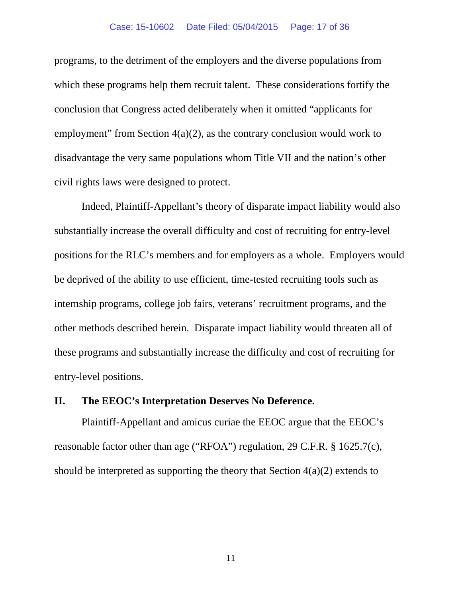#### Case: 15-10602 Date Filed: 05/04/2015 Page: 17 of 36

programs, to the detriment of the employers and the diverse populations from which these programs help them recruit talent. These considerations fortify the conclusion that Congress acted deliberately when it omitted "applicants for employment" from Section 4(a)(2), as the contrary conclusion would work to disadvantage the very same populations whom Title VII and the nation's other civil rights laws were designed to protect.

Indeed, Plaintiff-Appellant's theory of disparate impact liability would also substantially increase the overall difficulty and cost of recruiting for entry-level positions for the RLC's members and for employers as a whole. Employers would be deprived of the ability to use efficient, time-tested recruiting tools such as internship programs, college job fairs, veterans' recruitment programs, and the other methods described herein. Disparate impact liability would threaten all of these programs and substantially increase the difficulty and cost of recruiting for entry-level positions.

#### **II. The EEOC's Interpretation Deserves No Deference.**

Plaintiff-Appellant and amicus curiae the EEOC argue that the EEOC's reasonable factor other than age ("RFOA") regulation, 29 C.F.R. § 1625.7(c), should be interpreted as supporting the theory that Section  $4(a)(2)$  extends to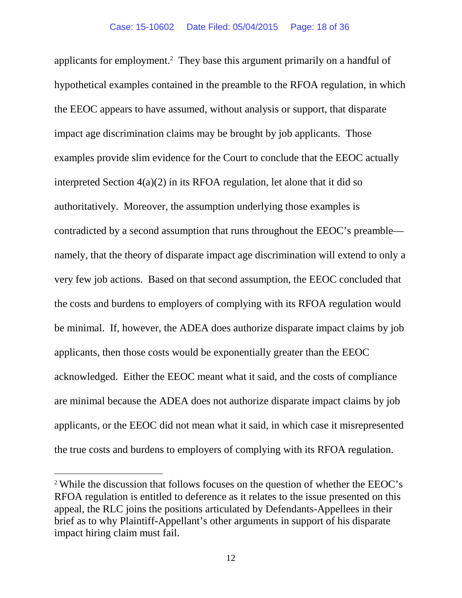applicants for employment.<sup>2</sup> They base this argument primarily on a handful of hypothetical examples contained in the preamble to the RFOA regulation, in which the EEOC appears to have assumed, without analysis or support, that disparate impact age discrimination claims may be brought by job applicants. Those examples provide slim evidence for the Court to conclude that the EEOC actually interpreted Section 4(a)(2) in its RFOA regulation, let alone that it did so authoritatively. Moreover, the assumption underlying those examples is contradicted by a second assumption that runs throughout the EEOC's preamble namely, that the theory of disparate impact age discrimination will extend to only a very few job actions. Based on that second assumption, the EEOC concluded that the costs and burdens to employers of complying with its RFOA regulation would be minimal. If, however, the ADEA does authorize disparate impact claims by job applicants, then those costs would be exponentially greater than the EEOC acknowledged. Either the EEOC meant what it said, and the costs of compliance are minimal because the ADEA does not authorize disparate impact claims by job applicants, or the EEOC did not mean what it said, in which case it misrepresented the true costs and burdens to employers of complying with its RFOA regulation.

<sup>2</sup> While the discussion that follows focuses on the question of whether the EEOC's RFOA regulation is entitled to deference as it relates to the issue presented on this appeal, the RLC joins the positions articulated by Defendants-Appellees in their brief as to why Plaintiff-Appellant's other arguments in support of his disparate impact hiring claim must fail.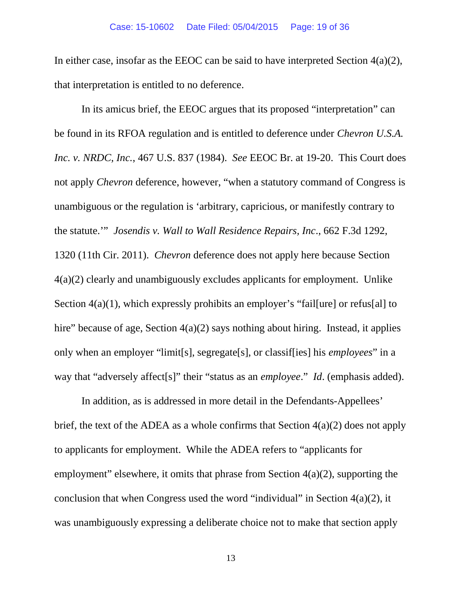In either case, insofar as the EEOC can be said to have interpreted Section  $4(a)(2)$ , that interpretation is entitled to no deference.

In its amicus brief, the EEOC argues that its proposed "interpretation" can be found in its RFOA regulation and is entitled to deference under *Chevron U.S.A. Inc. v. NRDC, Inc.*, 467 U.S. 837 (1984). *See* EEOC Br. at 19-20. This Court does not apply *Chevron* deference, however, "when a statutory command of Congress is unambiguous or the regulation is 'arbitrary, capricious, or manifestly contrary to the statute.'" *Josendis v. Wall to Wall Residence Repairs, Inc*., 662 F.3d 1292, 1320 (11th Cir. 2011). *Chevron* deference does not apply here because Section 4(a)(2) clearly and unambiguously excludes applicants for employment. Unlike Section 4(a)(1), which expressly prohibits an employer's "failfure] or refus[al] to hire" because of age, Section 4(a)(2) says nothing about hiring. Instead, it applies only when an employer "limit[s], segregate[s], or classif[ies] his *employees*" in a way that "adversely affect[s]" their "status as an *employee*." *Id*. (emphasis added).

In addition, as is addressed in more detail in the Defendants-Appellees' brief, the text of the ADEA as a whole confirms that Section 4(a)(2) does not apply to applicants for employment. While the ADEA refers to "applicants for employment" elsewhere, it omits that phrase from Section  $4(a)(2)$ , supporting the conclusion that when Congress used the word "individual" in Section 4(a)(2), it was unambiguously expressing a deliberate choice not to make that section apply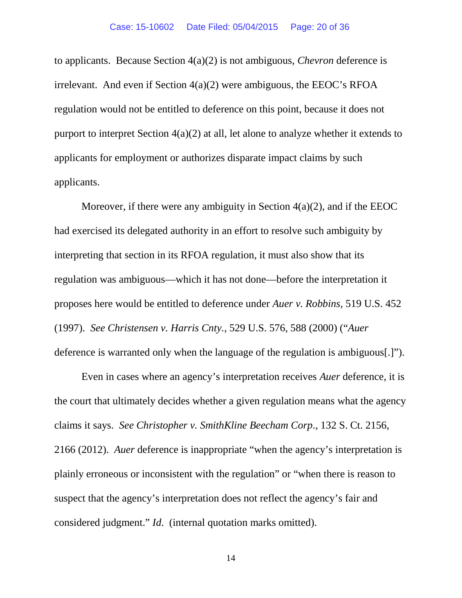to applicants. Because Section 4(a)(2) is not ambiguous, *Chevron* deference is irrelevant. And even if Section 4(a)(2) were ambiguous, the EEOC's RFOA regulation would not be entitled to deference on this point, because it does not purport to interpret Section 4(a)(2) at all, let alone to analyze whether it extends to applicants for employment or authorizes disparate impact claims by such applicants.

Moreover, if there were any ambiguity in Section  $4(a)(2)$ , and if the EEOC had exercised its delegated authority in an effort to resolve such ambiguity by interpreting that section in its RFOA regulation, it must also show that its regulation was ambiguous—which it has not done—before the interpretation it proposes here would be entitled to deference under *Auer v. Robbins*, 519 U.S. 452 (1997). *See Christensen v. Harris Cnty.*, 529 U.S. 576, 588 (2000) ("*Auer* deference is warranted only when the language of the regulation is ambiguous[.]").

Even in cases where an agency's interpretation receives *Auer* deference, it is the court that ultimately decides whether a given regulation means what the agency claims it says. *See Christopher v. SmithKline Beecham Corp*., 132 S. Ct. 2156, 2166 (2012). *Auer* deference is inappropriate "when the agency's interpretation is plainly erroneous or inconsistent with the regulation" or "when there is reason to suspect that the agency's interpretation does not reflect the agency's fair and considered judgment." *Id*. (internal quotation marks omitted).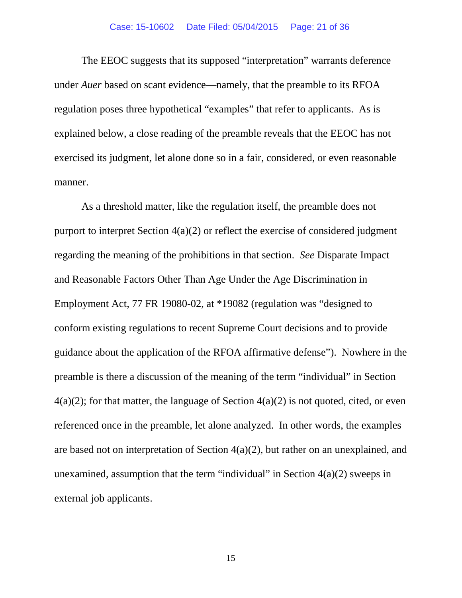#### Case: 15-10602 Date Filed: 05/04/2015 Page: 21 of 36

The EEOC suggests that its supposed "interpretation" warrants deference under *Auer* based on scant evidence—namely, that the preamble to its RFOA regulation poses three hypothetical "examples" that refer to applicants. As is explained below, a close reading of the preamble reveals that the EEOC has not exercised its judgment, let alone done so in a fair, considered, or even reasonable manner.

As a threshold matter, like the regulation itself, the preamble does not purport to interpret Section 4(a)(2) or reflect the exercise of considered judgment regarding the meaning of the prohibitions in that section. *See* Disparate Impact and Reasonable Factors Other Than Age Under the Age Discrimination in Employment Act, 77 FR 19080-02, at \*19082 (regulation was "designed to conform existing regulations to recent Supreme Court decisions and to provide guidance about the application of the RFOA affirmative defense"). Nowhere in the preamble is there a discussion of the meaning of the term "individual" in Section  $4(a)(2)$ ; for that matter, the language of Section  $4(a)(2)$  is not quoted, cited, or even referenced once in the preamble, let alone analyzed. In other words, the examples are based not on interpretation of Section 4(a)(2), but rather on an unexplained, and unexamined, assumption that the term "individual" in Section  $4(a)(2)$  sweeps in external job applicants.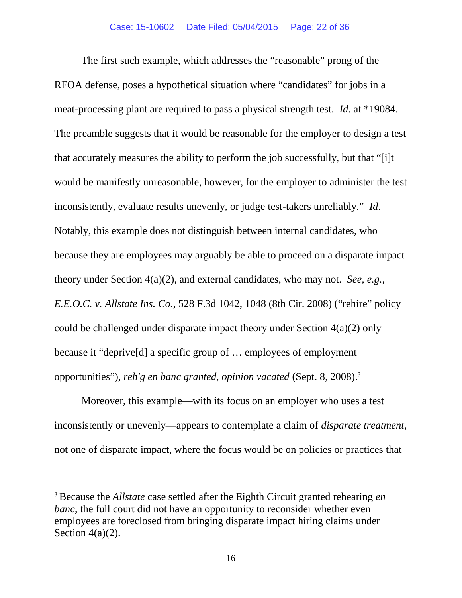The first such example, which addresses the "reasonable" prong of the RFOA defense, poses a hypothetical situation where "candidates" for jobs in a meat-processing plant are required to pass a physical strength test. *Id*. at \*19084. The preamble suggests that it would be reasonable for the employer to design a test that accurately measures the ability to perform the job successfully, but that "[i]t would be manifestly unreasonable, however, for the employer to administer the test inconsistently, evaluate results unevenly, or judge test-takers unreliably." *Id*. Notably, this example does not distinguish between internal candidates, who because they are employees may arguably be able to proceed on a disparate impact theory under Section 4(a)(2), and external candidates, who may not. *See, e.g., E.E.O.C. v. Allstate Ins. Co.*, 528 F.3d 1042, 1048 (8th Cir. 2008) ("rehire" policy could be challenged under disparate impact theory under Section 4(a)(2) only because it "deprive[d] a specific group of … employees of employment opportunities"), *reh'g en banc granted, opinion vacated* (Sept. 8, 2008).<sup>3</sup>

Moreover, this example—with its focus on an employer who uses a test inconsistently or unevenly—appears to contemplate a claim of *disparate treatment*, not one of disparate impact, where the focus would be on policies or practices that

<sup>3</sup> Because the *Allstate* case settled after the Eighth Circuit granted rehearing *en banc*, the full court did not have an opportunity to reconsider whether even employees are foreclosed from bringing disparate impact hiring claims under Section  $4(a)(2)$ .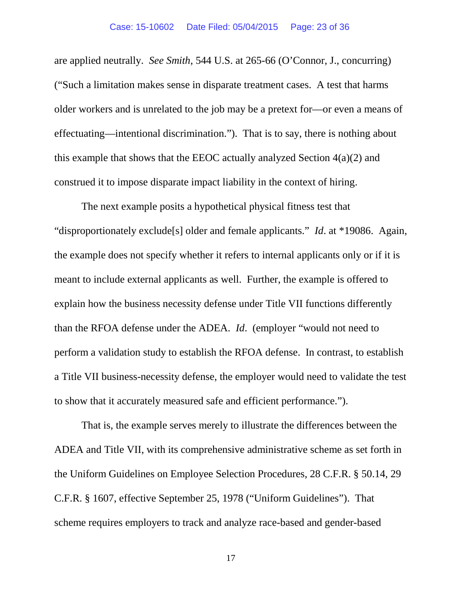are applied neutrally. *See Smith*, 544 U.S. at 265-66 (O'Connor, J., concurring) ("Such a limitation makes sense in disparate treatment cases. A test that harms older workers and is unrelated to the job may be a pretext for—or even a means of effectuating—intentional discrimination."). That is to say, there is nothing about this example that shows that the EEOC actually analyzed Section  $4(a)(2)$  and construed it to impose disparate impact liability in the context of hiring.

The next example posits a hypothetical physical fitness test that "disproportionately exclude[s] older and female applicants." *Id*. at \*19086. Again, the example does not specify whether it refers to internal applicants only or if it is meant to include external applicants as well. Further, the example is offered to explain how the business necessity defense under Title VII functions differently than the RFOA defense under the ADEA. *Id*. (employer "would not need to perform a validation study to establish the RFOA defense. In contrast, to establish a Title VII business-necessity defense, the employer would need to validate the test to show that it accurately measured safe and efficient performance.").

That is, the example serves merely to illustrate the differences between the ADEA and Title VII, with its comprehensive administrative scheme as set forth in the Uniform Guidelines on Employee Selection Procedures, 28 C.F.R. § 50.14, 29 C.F.R. § 1607, effective September 25, 1978 ("Uniform Guidelines"). That scheme requires employers to track and analyze race-based and gender-based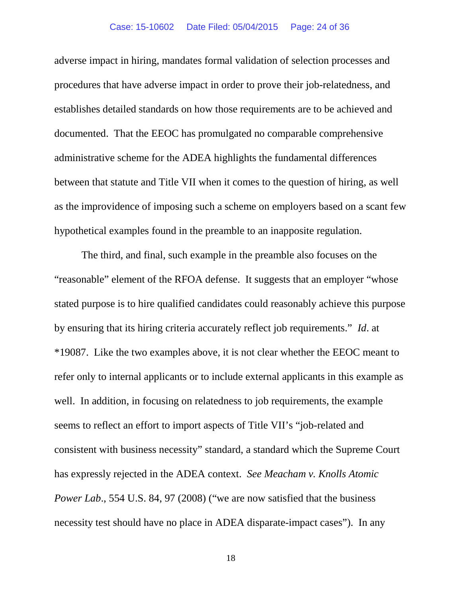adverse impact in hiring, mandates formal validation of selection processes and procedures that have adverse impact in order to prove their job-relatedness, and establishes detailed standards on how those requirements are to be achieved and documented. That the EEOC has promulgated no comparable comprehensive administrative scheme for the ADEA highlights the fundamental differences between that statute and Title VII when it comes to the question of hiring, as well as the improvidence of imposing such a scheme on employers based on a scant few hypothetical examples found in the preamble to an inapposite regulation.

The third, and final, such example in the preamble also focuses on the "reasonable" element of the RFOA defense. It suggests that an employer "whose stated purpose is to hire qualified candidates could reasonably achieve this purpose by ensuring that its hiring criteria accurately reflect job requirements." *Id*. at \*19087. Like the two examples above, it is not clear whether the EEOC meant to refer only to internal applicants or to include external applicants in this example as well. In addition, in focusing on relatedness to job requirements, the example seems to reflect an effort to import aspects of Title VII's "job-related and consistent with business necessity" standard, a standard which the Supreme Court has expressly rejected in the ADEA context. *See Meacham v. Knolls Atomic Power Lab.*, 554 U.S. 84, 97 (2008) ("we are now satisfied that the business necessity test should have no place in ADEA disparate-impact cases"). In any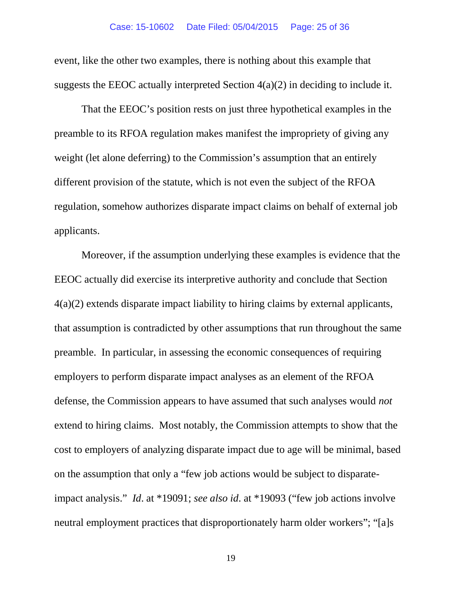event, like the other two examples, there is nothing about this example that suggests the EEOC actually interpreted Section  $4(a)(2)$  in deciding to include it.

That the EEOC's position rests on just three hypothetical examples in the preamble to its RFOA regulation makes manifest the impropriety of giving any weight (let alone deferring) to the Commission's assumption that an entirely different provision of the statute, which is not even the subject of the RFOA regulation, somehow authorizes disparate impact claims on behalf of external job applicants.

Moreover, if the assumption underlying these examples is evidence that the EEOC actually did exercise its interpretive authority and conclude that Section 4(a)(2) extends disparate impact liability to hiring claims by external applicants, that assumption is contradicted by other assumptions that run throughout the same preamble. In particular, in assessing the economic consequences of requiring employers to perform disparate impact analyses as an element of the RFOA defense, the Commission appears to have assumed that such analyses would *not* extend to hiring claims. Most notably, the Commission attempts to show that the cost to employers of analyzing disparate impact due to age will be minimal, based on the assumption that only a "few job actions would be subject to disparateimpact analysis." *Id*. at \*19091; *see also id*. at \*19093 ("few job actions involve neutral employment practices that disproportionately harm older workers"; "[a]s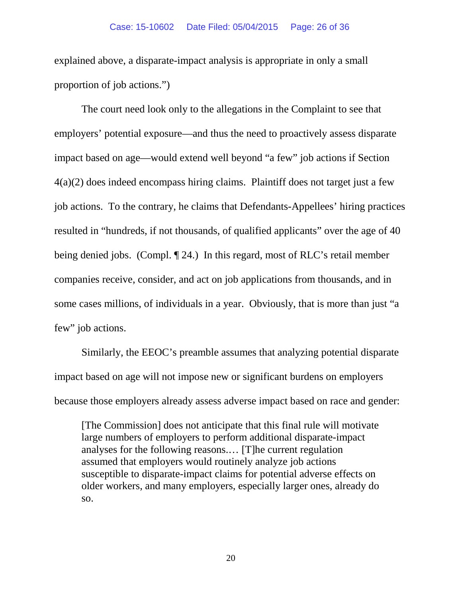explained above, a disparate-impact analysis is appropriate in only a small proportion of job actions.")

The court need look only to the allegations in the Complaint to see that employers' potential exposure—and thus the need to proactively assess disparate impact based on age—would extend well beyond "a few" job actions if Section 4(a)(2) does indeed encompass hiring claims. Plaintiff does not target just a few job actions. To the contrary, he claims that Defendants-Appellees' hiring practices resulted in "hundreds, if not thousands, of qualified applicants" over the age of 40 being denied jobs. (Compl. ¶ 24.) In this regard, most of RLC's retail member companies receive, consider, and act on job applications from thousands, and in some cases millions, of individuals in a year. Obviously, that is more than just "a few" job actions.

Similarly, the EEOC's preamble assumes that analyzing potential disparate impact based on age will not impose new or significant burdens on employers because those employers already assess adverse impact based on race and gender:

[The Commission] does not anticipate that this final rule will motivate large numbers of employers to perform additional disparate-impact analyses for the following reasons.… [T]he current regulation assumed that employers would routinely analyze job actions susceptible to disparate-impact claims for potential adverse effects on older workers, and many employers, especially larger ones, already do so.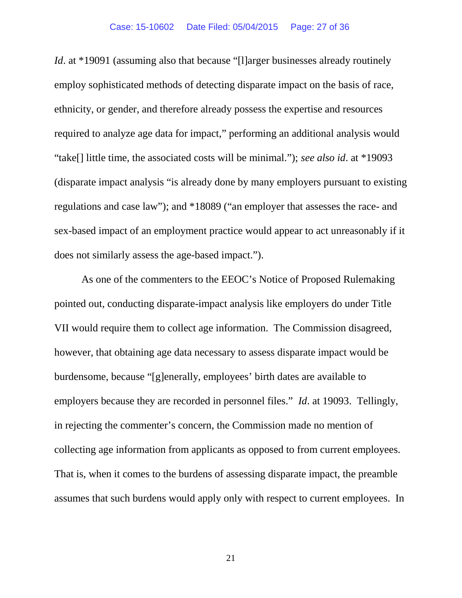*Id*. at \*19091 (assuming also that because "[l]arger businesses already routinely employ sophisticated methods of detecting disparate impact on the basis of race, ethnicity, or gender, and therefore already possess the expertise and resources required to analyze age data for impact," performing an additional analysis would "take[] little time, the associated costs will be minimal."); *see also id*. at \*19093 (disparate impact analysis "is already done by many employers pursuant to existing regulations and case law"); and \*18089 ("an employer that assesses the race- and sex-based impact of an employment practice would appear to act unreasonably if it does not similarly assess the age-based impact.").

As one of the commenters to the EEOC's Notice of Proposed Rulemaking pointed out, conducting disparate-impact analysis like employers do under Title VII would require them to collect age information. The Commission disagreed, however, that obtaining age data necessary to assess disparate impact would be burdensome, because "[g]enerally, employees' birth dates are available to employers because they are recorded in personnel files." *Id*. at 19093. Tellingly, in rejecting the commenter's concern, the Commission made no mention of collecting age information from applicants as opposed to from current employees. That is, when it comes to the burdens of assessing disparate impact, the preamble assumes that such burdens would apply only with respect to current employees. In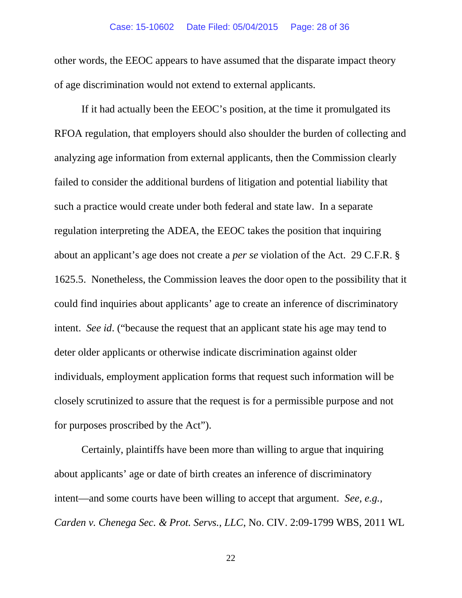#### Case: 15-10602 Date Filed: 05/04/2015 Page: 28 of 36

other words, the EEOC appears to have assumed that the disparate impact theory of age discrimination would not extend to external applicants.

If it had actually been the EEOC's position, at the time it promulgated its RFOA regulation, that employers should also shoulder the burden of collecting and analyzing age information from external applicants, then the Commission clearly failed to consider the additional burdens of litigation and potential liability that such a practice would create under both federal and state law. In a separate regulation interpreting the ADEA, the EEOC takes the position that inquiring about an applicant's age does not create a *per se* violation of the Act. 29 C.F.R. § 1625.5. Nonetheless, the Commission leaves the door open to the possibility that it could find inquiries about applicants' age to create an inference of discriminatory intent. *See id*. ("because the request that an applicant state his age may tend to deter older applicants or otherwise indicate discrimination against older individuals, employment application forms that request such information will be closely scrutinized to assure that the request is for a permissible purpose and not for purposes proscribed by the Act").

Certainly, plaintiffs have been more than willing to argue that inquiring about applicants' age or date of birth creates an inference of discriminatory intent—and some courts have been willing to accept that argument. *See, e.g., Carden v. Chenega Sec. & Prot. Servs., LLC*, No. CIV. 2:09-1799 WBS, 2011 WL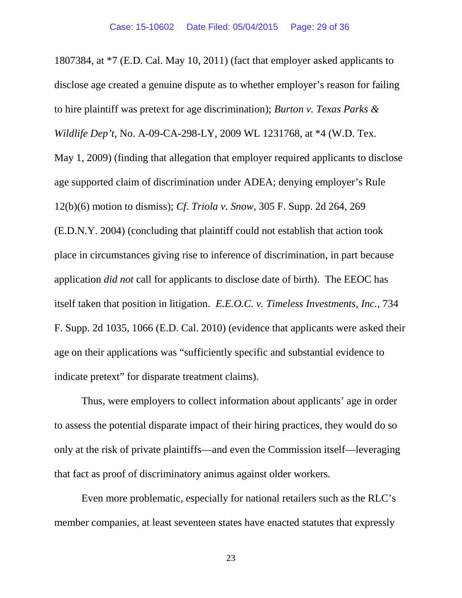1807384, at \*7 (E.D. Cal. May 10, 2011) (fact that employer asked applicants to disclose age created a genuine dispute as to whether employer's reason for failing to hire plaintiff was pretext for age discrimination); *Burton v. Texas Parks & Wildlife Dep't*, No. A-09-CA-298-LY, 2009 WL 1231768, at \*4 (W.D. Tex. May 1, 2009) (finding that allegation that employer required applicants to disclose age supported claim of discrimination under ADEA; denying employer's Rule 12(b)(6) motion to dismiss); *Cf*. *Triola v. Snow*, 305 F. Supp. 2d 264, 269 (E.D.N.Y. 2004) (concluding that plaintiff could not establish that action took place in circumstances giving rise to inference of discrimination, in part because application *did not* call for applicants to disclose date of birth). The EEOC has itself taken that position in litigation. *E.E.O.C. v. Timeless Investments, Inc.*, 734 F. Supp. 2d 1035, 1066 (E.D. Cal. 2010) (evidence that applicants were asked their age on their applications was "sufficiently specific and substantial evidence to indicate pretext" for disparate treatment claims).

Thus, were employers to collect information about applicants' age in order to assess the potential disparate impact of their hiring practices, they would do so only at the risk of private plaintiffs—and even the Commission itself—leveraging that fact as proof of discriminatory animus against older workers.

Even more problematic, especially for national retailers such as the RLC's member companies, at least seventeen states have enacted statutes that expressly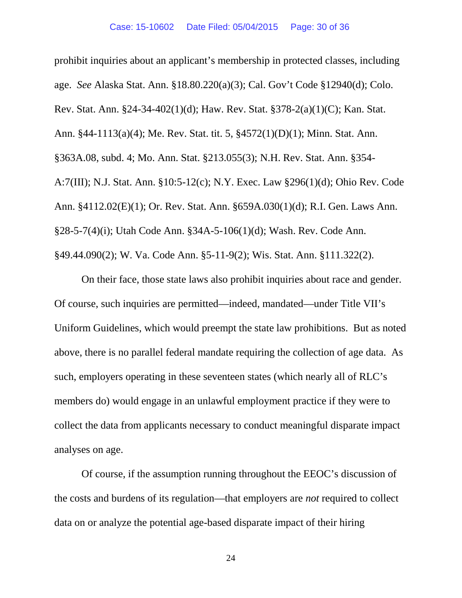prohibit inquiries about an applicant's membership in protected classes, including age. *See* Alaska Stat. Ann. §18.80.220(a)(3); Cal. Gov't Code §12940(d); Colo. Rev. Stat. Ann. §24-34-402(1)(d); Haw. Rev. Stat. §378-2(a)(1)(C); Kan. Stat. Ann. §44-1113(a)(4); Me. Rev. Stat. tit. 5, §4572(1)(D)(1); Minn. Stat. Ann. §363A.08, subd. 4; Mo. Ann. Stat. §213.055(3); N.H. Rev. Stat. Ann. §354- A:7(III); N.J. Stat. Ann. §10:5-12(c); N.Y. Exec. Law §296(1)(d); Ohio Rev. Code Ann. §4112.02(E)(1); Or. Rev. Stat. Ann. §659A.030(1)(d); R.I. Gen. Laws Ann. §28-5-7(4)(i); Utah Code Ann. §34A-5-106(1)(d); Wash. Rev. Code Ann. §49.44.090(2); W. Va. Code Ann. §5-11-9(2); Wis. Stat. Ann. §111.322(2).

On their face, those state laws also prohibit inquiries about race and gender. Of course, such inquiries are permitted—indeed, mandated—under Title VII's Uniform Guidelines, which would preempt the state law prohibitions. But as noted above, there is no parallel federal mandate requiring the collection of age data. As such, employers operating in these seventeen states (which nearly all of RLC's members do) would engage in an unlawful employment practice if they were to collect the data from applicants necessary to conduct meaningful disparate impact analyses on age.

Of course, if the assumption running throughout the EEOC's discussion of the costs and burdens of its regulation—that employers are *not* required to collect data on or analyze the potential age-based disparate impact of their hiring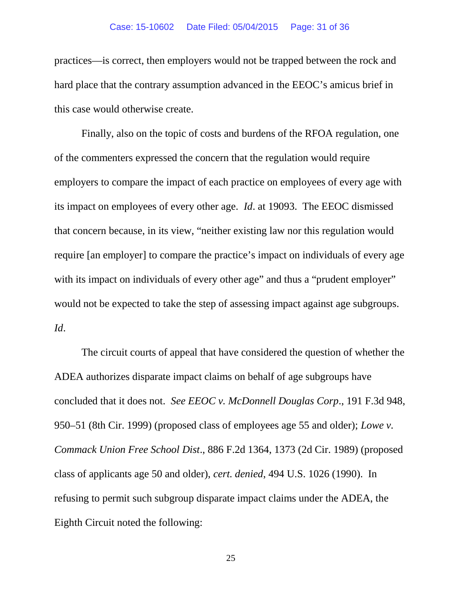practices—is correct, then employers would not be trapped between the rock and hard place that the contrary assumption advanced in the EEOC's amicus brief in this case would otherwise create.

Finally, also on the topic of costs and burdens of the RFOA regulation, one of the commenters expressed the concern that the regulation would require employers to compare the impact of each practice on employees of every age with its impact on employees of every other age. *Id*. at 19093. The EEOC dismissed that concern because, in its view, "neither existing law nor this regulation would require [an employer] to compare the practice's impact on individuals of every age with its impact on individuals of every other age" and thus a "prudent employer" would not be expected to take the step of assessing impact against age subgroups. *Id*.

The circuit courts of appeal that have considered the question of whether the ADEA authorizes disparate impact claims on behalf of age subgroups have concluded that it does not. *See EEOC v. McDonnell Douglas Corp*., 191 F.3d 948, 950–51 (8th Cir. 1999) (proposed class of employees age 55 and older); *Lowe v. Commack Union Free School Dist*., 886 F.2d 1364, 1373 (2d Cir. 1989) (proposed class of applicants age 50 and older), *cert. denied*, 494 U.S. 1026 (1990). In refusing to permit such subgroup disparate impact claims under the ADEA, the Eighth Circuit noted the following: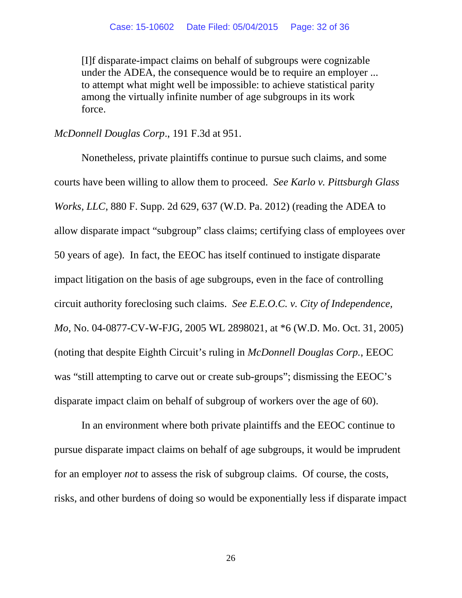[I]f disparate-impact claims on behalf of subgroups were cognizable under the ADEA, the consequence would be to require an employer ... to attempt what might well be impossible: to achieve statistical parity among the virtually infinite number of age subgroups in its work force.

*McDonnell Douglas Corp*., 191 F.3d at 951.

Nonetheless, private plaintiffs continue to pursue such claims, and some courts have been willing to allow them to proceed. *See Karlo v. Pittsburgh Glass Works, LLC*, 880 F. Supp. 2d 629, 637 (W.D. Pa. 2012) (reading the ADEA to allow disparate impact "subgroup" class claims; certifying class of employees over 50 years of age). In fact, the EEOC has itself continued to instigate disparate impact litigation on the basis of age subgroups, even in the face of controlling circuit authority foreclosing such claims. *See E.E.O.C. v. City of Independence, Mo*, No. 04-0877-CV-W-FJG, 2005 WL 2898021, at \*6 (W.D. Mo. Oct. 31, 2005) (noting that despite Eighth Circuit's ruling in *McDonnell Douglas Corp.*, EEOC was "still attempting to carve out or create sub-groups"; dismissing the EEOC's disparate impact claim on behalf of subgroup of workers over the age of 60).

In an environment where both private plaintiffs and the EEOC continue to pursue disparate impact claims on behalf of age subgroups, it would be imprudent for an employer *not* to assess the risk of subgroup claims. Of course, the costs, risks, and other burdens of doing so would be exponentially less if disparate impact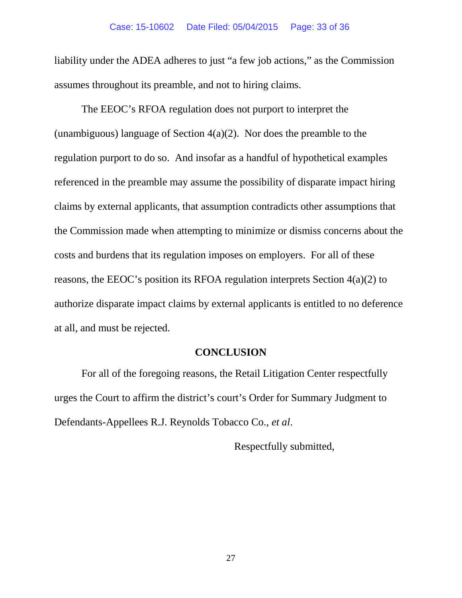liability under the ADEA adheres to just "a few job actions," as the Commission assumes throughout its preamble, and not to hiring claims.

The EEOC's RFOA regulation does not purport to interpret the (unambiguous) language of Section  $4(a)(2)$ . Nor does the preamble to the regulation purport to do so. And insofar as a handful of hypothetical examples referenced in the preamble may assume the possibility of disparate impact hiring claims by external applicants, that assumption contradicts other assumptions that the Commission made when attempting to minimize or dismiss concerns about the costs and burdens that its regulation imposes on employers. For all of these reasons, the EEOC's position its RFOA regulation interprets Section 4(a)(2) to authorize disparate impact claims by external applicants is entitled to no deference at all, and must be rejected.

## **CONCLUSION**

For all of the foregoing reasons, the Retail Litigation Center respectfully urges the Court to affirm the district's court's Order for Summary Judgment to Defendants-Appellees R.J. Reynolds Tobacco Co., *et al*.

Respectfully submitted,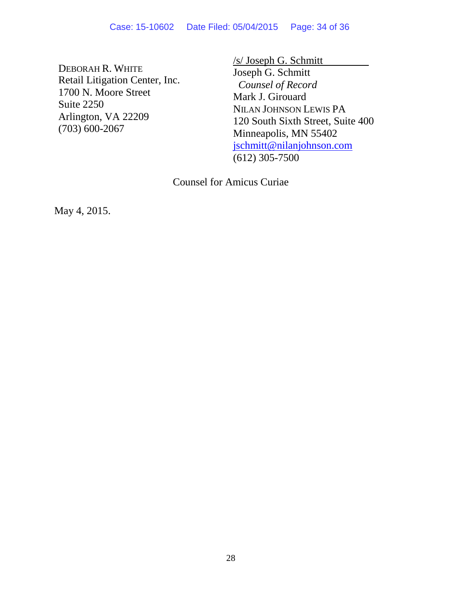DEBORAH R. WHITE Retail Litigation Center, Inc. 1700 N. Moore Street Suite 2250 Arlington, VA 22209 (703) 600-2067

/s/ Joseph G. Schmitt

Joseph G. Schmitt *Counsel of Record* Mark J. Girouard NILAN JOHNSON LEWIS PA 120 South Sixth Street, Suite 400 Minneapolis, MN 55402 jschmitt@nilanjohnson.com (612) 305-7500

Counsel for Amicus Curiae

May 4, 2015.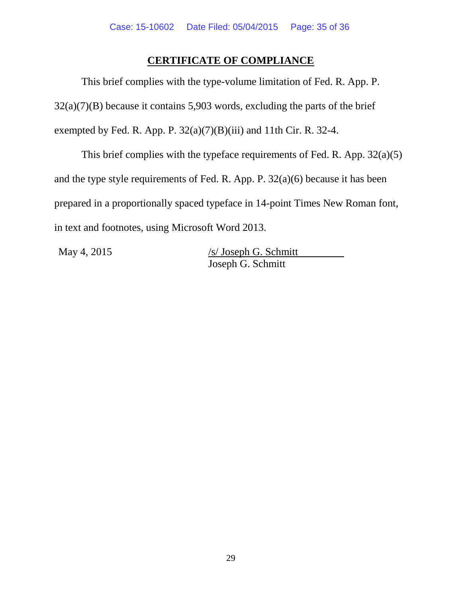## **CERTIFICATE OF COMPLIANCE**

This brief complies with the type-volume limitation of Fed. R. App. P.  $32(a)(7)(B)$  because it contains 5,903 words, excluding the parts of the brief exempted by Fed. R. App. P.  $32(a)(7)(B)(iii)$  and 11th Cir. R. 32-4.

This brief complies with the typeface requirements of Fed. R. App. 32(a)(5) and the type style requirements of Fed. R. App. P. 32(a)(6) because it has been prepared in a proportionally spaced typeface in 14-point Times New Roman font, in text and footnotes, using Microsoft Word 2013.

May 4, 2015 /s/ Joseph G. Schmitt Joseph G. Schmitt